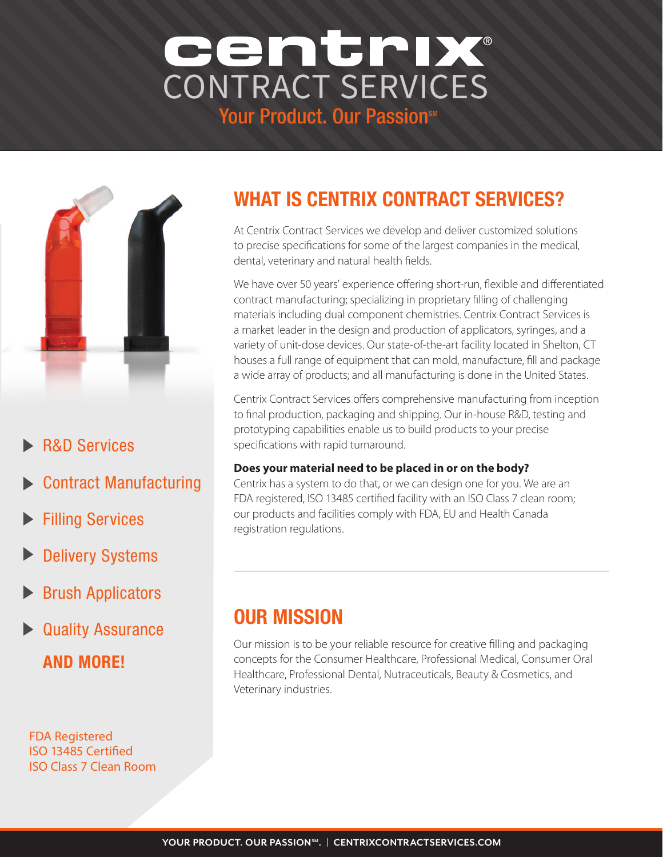## Your Product. Our PassionsM CENTRIX®<br>CONTRACT SERVICES



## **R&D Services**

- Contract Manufacturing
- Filling Services
- Delivery Systems
- Brush Applicators
- Quality Assurance AND MORE!

FDA Registered ISO 13485 Certified ISO Class 7 Clean Room

## WHAT IS CENTRIX CONTRACT SERVICES?

At Centrix Contract Services we develop and deliver customized solutions to precise specifications for some of the largest companies in the medical, dental, veterinary and natural health fields.

We have over 50 years' experience offering short-run, flexible and differentiated contract manufacturing; specializing in proprietary filling of challenging materials including dual component chemistries. Centrix Contract Services is a market leader in the design and production of applicators, syringes, and a variety of unit-dose devices. Our state-of-the-art facility located in Shelton, CT houses a full range of equipment that can mold, manufacture, fill and package a wide array of products; and all manufacturing is done in the United States.

Centrix Contract Services offers comprehensive manufacturing from inception to final production, packaging and shipping. Our in-house R&D, testing and prototyping capabilities enable us to build products to your precise specifications with rapid turnaround.

#### **Does your material need to be placed in or on the body?**

Centrix has a system to do that, or we can design one for you. We are an FDA registered, ISO 13485 certified facility with an ISO Class 7 clean room; our products and facilities comply with FDA, EU and Health Canada registration regulations.

## OUR MISSION

Our mission is to be your reliable resource for creative filling and packaging concepts for the Consumer Healthcare, Professional Medical, Consumer Oral Healthcare, Professional Dental, Nutraceuticals, Beauty & Cosmetics, and Veterinary industries.